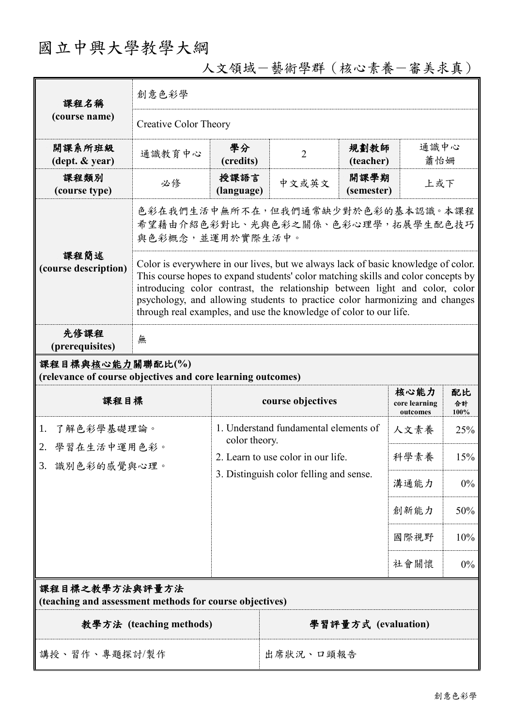# 國立中興大學教學大綱

| 課程名稱<br>(course name)                                                           | 創意色彩學                                                                                                                                                                                                                                                                                                                                                                                                      |                                                                                                                                         |                             |      |                                   |                  |  |
|---------------------------------------------------------------------------------|------------------------------------------------------------------------------------------------------------------------------------------------------------------------------------------------------------------------------------------------------------------------------------------------------------------------------------------------------------------------------------------------------------|-----------------------------------------------------------------------------------------------------------------------------------------|-----------------------------|------|-----------------------------------|------------------|--|
|                                                                                 | <b>Creative Color Theory</b>                                                                                                                                                                                                                                                                                                                                                                               |                                                                                                                                         |                             |      |                                   |                  |  |
| 開課系所班級<br>$(\text{dept.} \& \text{ year})$                                      | 通識教育中心                                                                                                                                                                                                                                                                                                                                                                                                     | 學分<br>規劃教師<br>$\overline{2}$<br>(credits)<br>(teacher)                                                                                  |                             |      | 通識中心<br>蕭怡姍                       |                  |  |
| 課程類別<br>(course type)                                                           | 必修                                                                                                                                                                                                                                                                                                                                                                                                         | 授課語言<br>(language)                                                                                                                      | 開課學期<br>中文或英文<br>(semester) |      |                                   | 上或下              |  |
|                                                                                 | 色彩在我們生活中無所不在,但我們通常缺少對於色彩的基本認識。本課程<br>希望藉由介紹色彩對比、光與色彩之關係、色彩心理學,拓展學生配色技巧<br>與色彩概念,並運用於實際生活中。                                                                                                                                                                                                                                                                                                                 |                                                                                                                                         |                             |      |                                   |                  |  |
| 課程簡述<br>(course description)                                                    | Color is everywhere in our lives, but we always lack of basic knowledge of color.<br>This course hopes to expand students' color matching skills and color concepts by<br>introducing color contrast, the relationship between light and color, color<br>psychology, and allowing students to practice color harmonizing and changes<br>through real examples, and use the knowledge of color to our life. |                                                                                                                                         |                             |      |                                   |                  |  |
| 先修課程<br>(prerequisites)                                                         | 無                                                                                                                                                                                                                                                                                                                                                                                                          |                                                                                                                                         |                             |      |                                   |                  |  |
| 課程目標與核心能力關聯配比(%)<br>(relevance of course objectives and core learning outcomes) |                                                                                                                                                                                                                                                                                                                                                                                                            |                                                                                                                                         |                             |      |                                   |                  |  |
| 課程目標                                                                            |                                                                                                                                                                                                                                                                                                                                                                                                            |                                                                                                                                         | course objectives           |      | 核心能力<br>core learning<br>outcomes | 配比<br>合計<br>100% |  |
| 了解色彩學基礎理論。<br>1.<br>2. 學習在生活中運用色彩。<br>3. 識別色彩的感覺與心理。                            |                                                                                                                                                                                                                                                                                                                                                                                                            | 1. Understand fundamental elements of<br>color theory.<br>2. Learn to use color in our life.<br>3. Distinguish color felling and sense. |                             | 人文素養 | 25%                               |                  |  |
|                                                                                 |                                                                                                                                                                                                                                                                                                                                                                                                            |                                                                                                                                         |                             | 科學素養 | 15%                               |                  |  |
|                                                                                 |                                                                                                                                                                                                                                                                                                                                                                                                            |                                                                                                                                         |                             | 溝通能力 | $0\%$                             |                  |  |
|                                                                                 |                                                                                                                                                                                                                                                                                                                                                                                                            |                                                                                                                                         |                             | 創新能力 | 50%                               |                  |  |
|                                                                                 |                                                                                                                                                                                                                                                                                                                                                                                                            |                                                                                                                                         |                             |      | 國際視野                              | 10%              |  |
|                                                                                 |                                                                                                                                                                                                                                                                                                                                                                                                            |                                                                                                                                         |                             |      | 社會關懷                              | $0\%$            |  |
| 課程目標之教學方法與評量方法<br>(teaching and assessment methods for course objectives)       |                                                                                                                                                                                                                                                                                                                                                                                                            |                                                                                                                                         |                             |      |                                   |                  |  |
| 教學方法 (teaching methods)                                                         |                                                                                                                                                                                                                                                                                                                                                                                                            |                                                                                                                                         | 學習評量方式 (evaluation)         |      |                                   |                  |  |
| 講授、習作、專題探討/製作                                                                   |                                                                                                                                                                                                                                                                                                                                                                                                            |                                                                                                                                         | 出席狀況、口頭報告                   |      |                                   |                  |  |

人文領域-藝術學群(核心素養-審美求真)